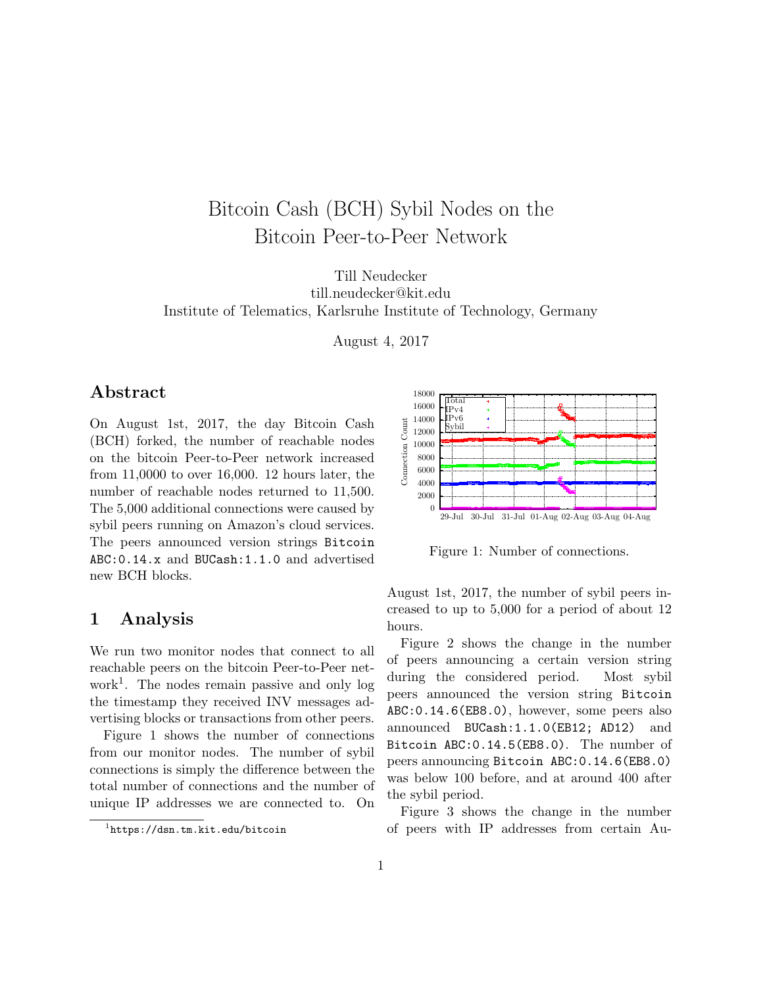## Bitcoin Cash (BCH) Sybil Nodes on the Bitcoin Peer-to-Peer Network

Till Neudecker

till.neudecker@kit.edu

Institute of Telematics, Karlsruhe Institute of Technology, Germany

August 4, 2017

## Abstract

On August 1st, 2017, the day Bitcoin Cash (BCH) forked, the number of reachable nodes on the bitcoin Peer-to-Peer network increased from 11,0000 to over 16,000. 12 hours later, the number of reachable nodes returned to 11,500. The 5,000 additional connections were caused by sybil peers running on Amazon's cloud services. The peers announced version strings Bitcoin ABC:0.14.x and BUCash:1.1.0 and advertised new BCH blocks.

## 1 Analysis

We run two monitor nodes that connect to all reachable peers on the bitcoin Peer-to-Peer network<sup>1</sup> . The nodes remain passive and only log the timestamp they received INV messages advertising blocks or transactions from other peers.

Figure 1 shows the number of connections from our monitor nodes. The number of sybil connections is simply the difference between the total number of connections and the number of unique IP addresses we are connected to. On



Figure 1: Number of connections.

August 1st, 2017, the number of sybil peers increased to up to 5,000 for a period of about 12 hours.

Figure 2 shows the change in the number of peers announcing a certain version string during the considered period. Most sybil peers announced the version string Bitcoin ABC:0.14.6(EB8.0), however, some peers also announced BUCash:1.1.0(EB12; AD12) and Bitcoin ABC:0.14.5(EB8.0). The number of peers announcing Bitcoin ABC:0.14.6(EB8.0) was below 100 before, and at around 400 after the sybil period.

Figure 3 shows the change in the number of peers with IP addresses from certain Au-

<sup>1</sup> https://dsn.tm.kit.edu/bitcoin